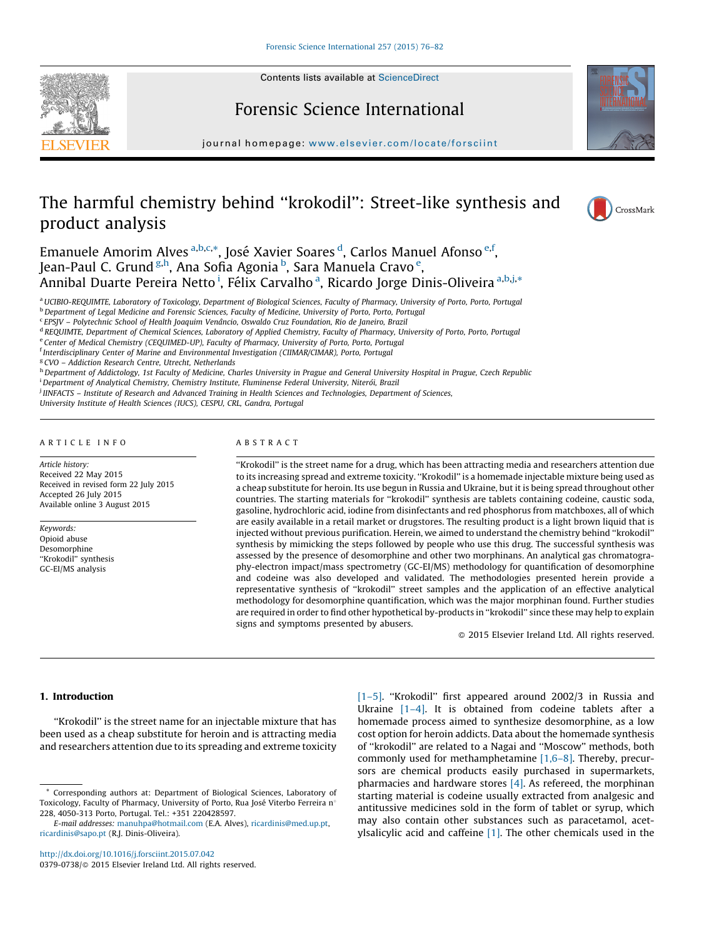Contents lists available at [ScienceDirect](http://www.sciencedirect.com/science/journal/03790738)





Forensic Science International

journal homepage: [www.elsevier.com/locate/for](www.elsevier.com/locate/forsciint)sciint

# The harmful chemistry behind ''krokodil'': Street-like synthesis and product analysis



Emanuele Amorim Alves <sup>a,b,c,\*</sup>, José Xavier Soares <sup>d</sup>, Carlos Manuel Afonso <sup>e,f</sup>, Jean-Paul C. Grund <sup>g,h</sup>, Ana Sofia Agonia <sup>b</sup>, Sara Manuela Cravo <sup>e</sup>, Annibal Duarte Pereira Netto <sup>i</sup>, Félix Carvalho <sup>a</sup>, Ricardo Jorge Dinis-Oliveira <sup>a,b,j,</sup>\*

a UCIBIO-REQUIMTE, Laboratory of Toxicology, Department of Biological Sciences, Faculty of Pharmacy, University of Porto, Porto, Portugal

- <sup>c</sup> EPSJV Polytechnic School of Health Joaquim Venâncio, Oswaldo Cruz Foundation, Rio de Janeiro, Brazil
- <sup>d</sup> REQUIMTE, Department of Chemical Sciences, Laboratory of Applied Chemistry, Faculty of Pharmacy, University of Porto, Porto, Portugal
- e Center of Medical Chemistry (CEQUIMED-UP), Faculty of Pharmacy, University of Porto, Porto, Portugal

f Interdisciplinary Center of Marine and Environmental Investigation (CIIMAR/CIMAR), Porto, Portugal

<sup>g</sup> CVO - Addiction Research Centre, Utrecht, Netherlands

h Department of Addictology, 1st Faculty of Medicine, Charles University in Prague and General University Hospital in Prague, Czech Republic

<sup>i</sup> Department of Analytical Chemistry, Chemistry Institute, Fluminense Federal University, Niterói, Brazil

j IINFACTS – Institute of Research and Advanced Training in Health Sciences and Technologies, Department of Sciences,

University Institute of Health Sciences (IUCS), CESPU, CRL, Gandra, Portugal

#### A R T I C L E I N F O

Article history: Received 22 May 2015 Received in revised form 22 July 2015 Accepted 26 July 2015 Available online 3 August 2015

Keywords: Opioid abuse Desomorphine "Krokodil" synthesis GC-EI/MS analysis

# A B S T R A C T

''Krokodil'' is the street name for a drug, which has been attracting media and researchers attention due to its increasing spread and extreme toxicity. ''Krokodil'' is a homemade injectable mixture being used as a cheap substitute for heroin. Its use begun in Russia and Ukraine, but it is being spread throughout other countries. The starting materials for ''krokodil'' synthesis are tablets containing codeine, caustic soda, gasoline, hydrochloric acid, iodine from disinfectants and red phosphorus from matchboxes, all of which are easily available in a retail market or drugstores. The resulting product is a light brown liquid that is injected without previous purification. Herein, we aimed to understand the chemistry behind ''krokodil'' synthesis by mimicking the steps followed by people who use this drug. The successful synthesis was assessed by the presence of desomorphine and other two morphinans. An analytical gas chromatography-electron impact/mass spectrometry (GC-EI/MS) methodology for quantification of desomorphine and codeine was also developed and validated. The methodologies presented herein provide a representative synthesis of ''krokodil'' street samples and the application of an effective analytical methodology for desomorphine quantification, which was the major morphinan found. Further studies are required in order to find other hypothetical by-products in ''krokodil'' since these may help to explain signs and symptoms presented by abusers.

 $\odot$  2015 Elsevier Ireland Ltd. All rights reserved.

# 1. Introduction

''Krokodil'' is the street name for an injectable mixture that has been used as a cheap substitute for heroin and is attracting media and researchers attention due to its spreading and extreme toxicity

<http://dx.doi.org/10.1016/j.forsciint.2015.07.042> 0379-0738/© 2015 Elsevier Ireland Ltd. All rights reserved. [\[1–5\]](#page-6-0). ''Krokodil'' first appeared around 2002/3 in Russia and Ukraine [1-4]. It is obtained from codeine tablets after a homemade process aimed to synthesize desomorphine, as a low cost option for heroin addicts. Data about the homemade synthesis of ''krokodil'' are related to a Nagai and ''Moscow'' methods, both commonly used for methamphetamine [\[1,6–8\].](#page-6-0) Thereby, precursors are chemical products easily purchased in supermarkets, pharmacies and hardware stores [\[4\].](#page-6-0) As refereed, the morphinan starting material is codeine usually extracted from analgesic and antitussive medicines sold in the form of tablet or syrup, which may also contain other substances such as paracetamol, acetylsalicylic acid and caffeine [\[1\]](#page-6-0). The other chemicals used in the

b<br>Department of Legal Medicine and Forensic Sciences, Faculty of Medicine, University of Porto, Porto, Portugal

<sup>\*</sup> Corresponding authors at: Department of Biological Sciences, Laboratory of Toxicology, Faculty of Pharmacy, University of Porto, Rua José Viterbo Ferreira n° 228, 4050-313 Porto, Portugal. Tel.: +351 220428597.

E-mail addresses: [manuhpa@hotmail.com](mailto:manuhpa@hotmail.com) (E.A. Alves), [ricardinis@med.up.pt,](mailto:ricardinis@med.up.pt) [ricardinis@sapo.pt](mailto:ricardinis@sapo.pt) (R.J. Dinis-Oliveira).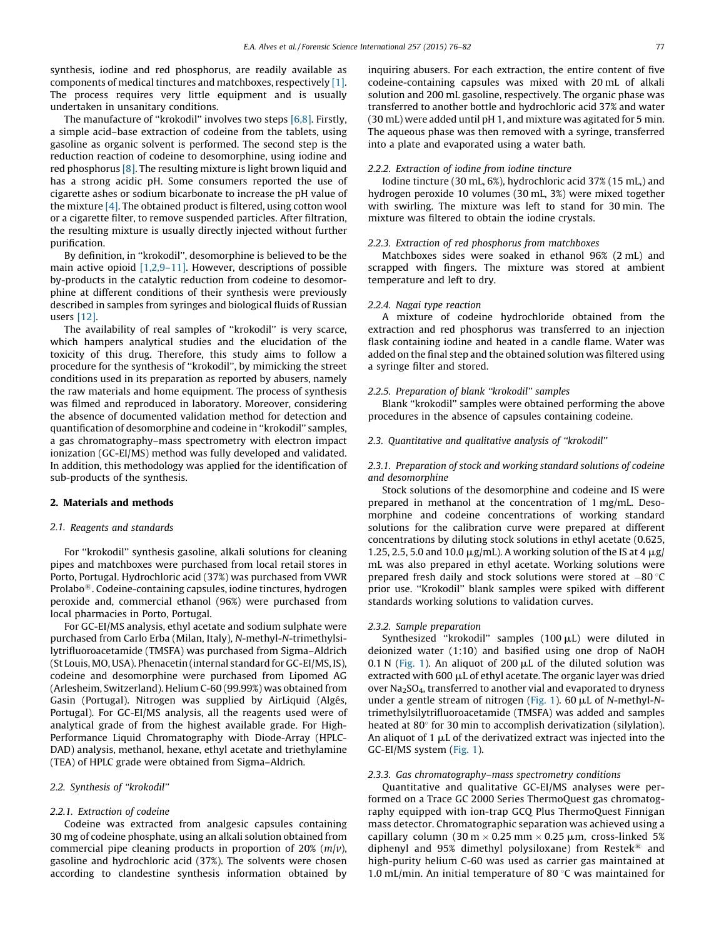synthesis, iodine and red phosphorus, are readily available as components of medical tinctures and matchboxes, respectively [\[1\].](#page-6-0) The process requires very little equipment and is usually undertaken in unsanitary conditions.

The manufacture of ''krokodil'' involves two steps [\[6,8\].](#page-6-0) Firstly, a simple acid–base extraction of codeine from the tablets, using gasoline as organic solvent is performed. The second step is the reduction reaction of codeine to desomorphine, using iodine and red phosphorus [\[8\]](#page-6-0). The resulting mixture is light brown liquid and has a strong acidic pH. Some consumers reported the use of cigarette ashes or sodium bicarbonate to increase the pH value of the mixture [\[4\].](#page-6-0) The obtained product is filtered, using cotton wool or a cigarette filter, to remove suspended particles. After filtration, the resulting mixture is usually directly injected without further purification.

By definition, in ''krokodil'', desomorphine is believed to be the main active opioid [\[1,2,9–11\]](#page-6-0). However, descriptions of possible by-products in the catalytic reduction from codeine to desomorphine at different conditions of their synthesis were previously described in samples from syringes and biological fluids of Russian users [\[12\]](#page-6-0).

The availability of real samples of ''krokodil'' is very scarce, which hampers analytical studies and the elucidation of the toxicity of this drug. Therefore, this study aims to follow a procedure for the synthesis of ''krokodil'', by mimicking the street conditions used in its preparation as reported by abusers, namely the raw materials and home equipment. The process of synthesis was filmed and reproduced in laboratory. Moreover, considering the absence of documented validation method for detection and quantification of desomorphine and codeine in ''krokodil'' samples, a gas chromatography–mass spectrometry with electron impact ionization (GC-EI/MS) method was fully developed and validated. In addition, this methodology was applied for the identification of sub-products of the synthesis.

#### 2. Materials and methods

#### 2.1. Reagents and standards

For ''krokodil'' synthesis gasoline, alkali solutions for cleaning pipes and matchboxes were purchased from local retail stores in Porto, Portugal. Hydrochloric acid (37%) was purchased from VWR Prolabo<sup>®</sup>. Codeine-containing capsules, iodine tinctures, hydrogen peroxide and, commercial ethanol (96%) were purchased from local pharmacies in Porto, Portugal.

For GC-EI/MS analysis, ethyl acetate and sodium sulphate were purchased from Carlo Erba (Milan, Italy), N-methyl-N-trimethylsilytrifluoroacetamide (TMSFA) was purchased from Sigma–Aldrich (St Louis, MO, USA). Phenacetin (internal standard for GC-EI/MS, IS), codeine and desomorphine were purchased from Lipomed AG (Arlesheim, Switzerland). Helium C-60 (99.99%) was obtained from Gasin (Portugal). Nitrogen was supplied by AirLiquid (Algés, Portugal). For GC-EI/MS analysis, all the reagents used were of analytical grade of from the highest available grade. For High-Performance Liquid Chromatography with Diode-Array (HPLC-DAD) analysis, methanol, hexane, ethyl acetate and triethylamine (TEA) of HPLC grade were obtained from Sigma–Aldrich.

#### 2.2. Synthesis of ''krokodil''

#### 2.2.1. Extraction of codeine

Codeine was extracted from analgesic capsules containing 30 mg of codeine phosphate, using an alkali solution obtained from commercial pipe cleaning products in proportion of  $20\%$  ( $m/v$ ), gasoline and hydrochloric acid (37%). The solvents were chosen according to clandestine synthesis information obtained by inquiring abusers. For each extraction, the entire content of five codeine-containing capsules was mixed with 20 mL of alkali solution and 200 mL gasoline, respectively. The organic phase was transferred to another bottle and hydrochloric acid 37% and water (30 mL) were added until pH 1, and mixture was agitated for 5 min. The aqueous phase was then removed with a syringe, transferred into a plate and evaporated using a water bath.

#### 2.2.2. Extraction of iodine from iodine tincture

Iodine tincture (30 mL, 6%), hydrochloric acid 37% (15 mL,) and hydrogen peroxide 10 volumes (30 mL, 3%) were mixed together with swirling. The mixture was left to stand for 30 min. The mixture was filtered to obtain the iodine crystals.

#### 2.2.3. Extraction of red phosphorus from matchboxes

Matchboxes sides were soaked in ethanol 96% (2 mL) and scrapped with fingers. The mixture was stored at ambient temperature and left to dry.

#### 2.2.4. Nagai type reaction

A mixture of codeine hydrochloride obtained from the extraction and red phosphorus was transferred to an injection flask containing iodine and heated in a candle flame. Water was added on the final step and the obtained solution was filtered using a syringe filter and stored.

# 2.2.5. Preparation of blank ''krokodil'' samples

Blank ''krokodil'' samples were obtained performing the above procedures in the absence of capsules containing codeine.

#### 2.3. Quantitative and qualitative analysis of ''krokodil''

# 2.3.1. Preparation of stock and working standard solutions of codeine and desomorphine

Stock solutions of the desomorphine and codeine and IS were prepared in methanol at the concentration of 1 mg/mL. Desomorphine and codeine concentrations of working standard solutions for the calibration curve were prepared at different concentrations by diluting stock solutions in ethyl acetate (0.625, 1.25, 2.5, 5.0 and 10.0  $\mu$ g/mL). A working solution of the IS at 4  $\mu$ g/ mL was also prepared in ethyl acetate. Working solutions were prepared fresh daily and stock solutions were stored at  $-80$   $^{\circ}$ C prior use. ''Krokodil'' blank samples were spiked with different standards working solutions to validation curves.

#### 2.3.2. Sample preparation

Synthesized "krokodil" samples  $(100 \mu L)$  were diluted in deionized water (1:10) and basified using one drop of NaOH 0.1 N ([Fig.](#page-2-0) 1). An aliquot of 200  $\mu$ L of the diluted solution was extracted with  $600 \mu L$  of ethyl acetate. The organic layer was dried over Na2SO4, transferred to another vial and evaporated to dryness under a gentle stream of nitrogen [\(Fig.](#page-2-0) 1). 60  $\mu$ L of N-methyl-Ntrimethylsilytrifluoroacetamide (TMSFA) was added and samples heated at  $80^\circ$  for 30 min to accomplish derivatization (silylation). An aliquot of 1  $\mu$ L of the derivatized extract was injected into the GC-EI/MS system ([Fig.](#page-2-0) 1).

#### 2.3.3. Gas chromatography–mass spectrometry conditions

Quantitative and qualitative GC-EI/MS analyses were performed on a Trace GC 2000 Series ThermoQuest gas chromatography equipped with ion-trap GCQ Plus ThermoQuest Finnigan mass detector. Chromatographic separation was achieved using a capillary column (30 m  $\times$  0.25 mm  $\times$  0.25 µm, cross-linked 5% diphenyl and 95% dimethyl polysiloxane) from Restek<sup>®</sup> and high-purity helium C-60 was used as carrier gas maintained at 1.0 mL/min. An initial temperature of 80  $\degree$ C was maintained for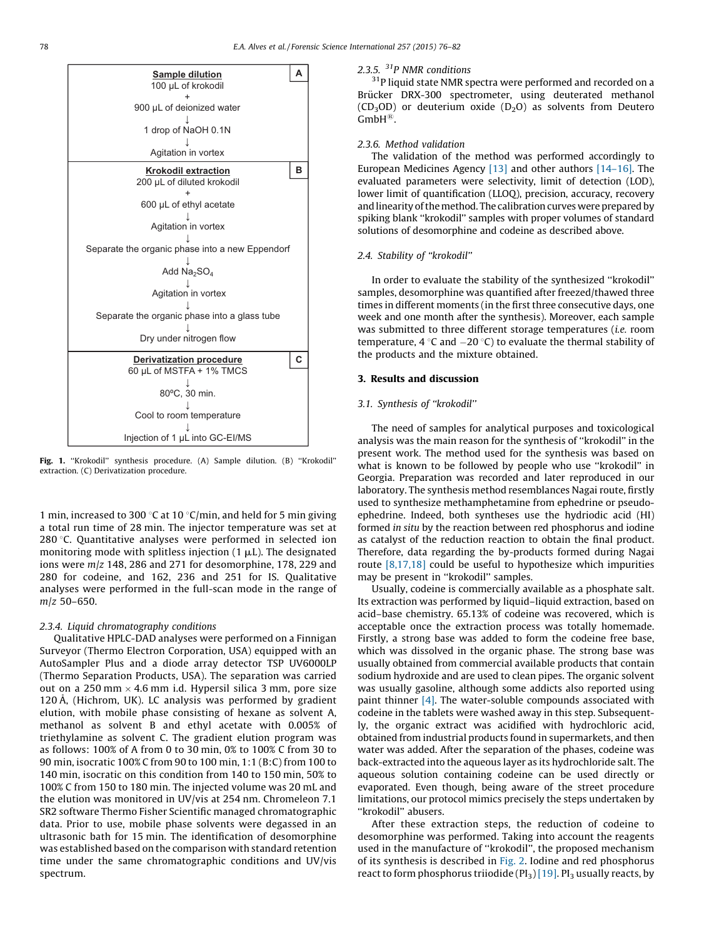<span id="page-2-0"></span>

Fig. 1. "Krokodil" synthesis procedure. (A) Sample dilution. (B) "Krokodil" extraction. (C) Derivatization procedure.

1 min, increased to 300 °C at 10 °C/min, and held for 5 min giving a total run time of 28 min. The injector temperature was set at 280 $\degree$ C. Quantitative analyses were performed in selected ion monitoring mode with splitless injection  $(1 \mu L)$ . The designated ions were  $m/z$  148, 286 and 271 for desomorphine, 178, 229 and 280 for codeine, and 162, 236 and 251 for IS. Qualitative analyses were performed in the full-scan mode in the range of m/z 50–650.

# 2.3.4. Liquid chromatography conditions

Qualitative HPLC-DAD analyses were performed on a Finnigan Surveyor (Thermo Electron Corporation, USA) equipped with an AutoSampler Plus and a diode array detector TSP UV6000LP (Thermo Separation Products, USA). The separation was carried out on a 250 mm  $\times$  4.6 mm i.d. Hypersil silica 3 mm, pore size 120 Å, (Hichrom, UK). LC analysis was performed by gradient elution, with mobile phase consisting of hexane as solvent A, methanol as solvent B and ethyl acetate with 0.005% of triethylamine as solvent C. The gradient elution program was as follows: 100% of A from 0 to 30 min, 0% to 100% C from 30 to 90 min, isocratic 100% C from 90 to 100 min, 1:1 (B:C) from 100 to 140 min, isocratic on this condition from 140 to 150 min, 50% to 100% C from 150 to 180 min. The injected volume was 20 mL and the elution was monitored in UV/vis at 254 nm. Chromeleon 7.1 SR2 software Thermo Fisher Scientific managed chromatographic data. Prior to use, mobile phase solvents were degassed in an ultrasonic bath for 15 min. The identification of desomorphine was established based on the comparison with standard retention time under the same chromatographic conditions and UV/vis spectrum.

# 2.3.5. 31P NMR conditions

 $31P$  liquid state NMR spectra were performed and recorded on a Brücker DRX-300 spectrometer, using deuterated methanol (CD<sub>3</sub>OD) or deuterium oxide (D<sub>2</sub>O) as solvents from Deutero  $GmbH^{\circledR}$ .

# 2.3.6. Method validation

The validation of the method was performed accordingly to European Medicines Agency [\[13\]](#page-6-0) and other authors [\[14–16\].](#page-6-0) The evaluated parameters were selectivity, limit of detection (LOD), lower limit of quantification (LLOQ), precision, accuracy, recovery and linearity of the method. The calibration curves were prepared by spiking blank ''krokodil'' samples with proper volumes of standard solutions of desomorphine and codeine as described above.

#### 2.4. Stability of ''krokodil''

In order to evaluate the stability of the synthesized ''krokodil'' samples, desomorphine was quantified after freezed/thawed three times in different moments (in the first three consecutive days, one week and one month after the synthesis). Moreover, each sample was submitted to three different storage temperatures (i.e. room temperature, 4  $\degree$ C and  $-20\degree$ C) to evaluate the thermal stability of the products and the mixture obtained.

#### 3. Results and discussion

# 3.1. Synthesis of ''krokodil''

The need of samples for analytical purposes and toxicological analysis was the main reason for the synthesis of ''krokodil'' in the present work. The method used for the synthesis was based on what is known to be followed by people who use ''krokodil'' in Georgia. Preparation was recorded and later reproduced in our laboratory. The synthesis method resemblances Nagai route, firstly used to synthesize methamphetamine from ephedrine or pseudoephedrine. Indeed, both syntheses use the hydriodic acid (HI) formed in situ by the reaction between red phosphorus and iodine as catalyst of the reduction reaction to obtain the final product. Therefore, data regarding the by-products formed during Nagai route [\[8,17,18\]](#page-6-0) could be useful to hypothesize which impurities may be present in ''krokodil'' samples.

Usually, codeine is commercially available as a phosphate salt. Its extraction was performed by liquid–liquid extraction, based on acid–base chemistry. 65.13% of codeine was recovered, which is acceptable once the extraction process was totally homemade. Firstly, a strong base was added to form the codeine free base, which was dissolved in the organic phase. The strong base was usually obtained from commercial available products that contain sodium hydroxide and are used to clean pipes. The organic solvent was usually gasoline, although some addicts also reported using paint thinner [\[4\].](#page-6-0) The water-soluble compounds associated with codeine in the tablets were washed away in this step. Subsequently, the organic extract was acidified with hydrochloric acid, obtained from industrial products found in supermarkets, and then water was added. After the separation of the phases, codeine was back-extracted into the aqueous layer as its hydrochloride salt. The aqueous solution containing codeine can be used directly or evaporated. Even though, being aware of the street procedure limitations, our protocol mimics precisely the steps undertaken by "krokodil" abusers.

After these extraction steps, the reduction of codeine to desomorphine was performed. Taking into account the reagents used in the manufacture of ''krokodil'', the proposed mechanism of its synthesis is described in [Fig.](#page-3-0) 2. Iodine and red phosphorus react to form phosphorus triiodide  $(PI_3)$  [\[19\]](#page-6-0). PI<sub>3</sub> usually reacts, by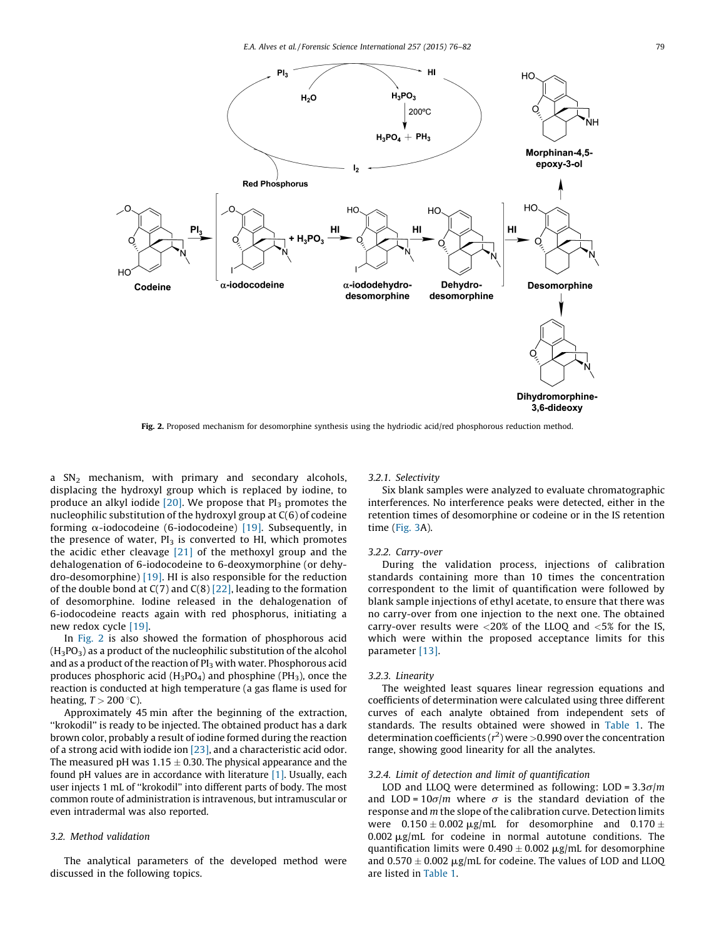E.A. Alves et al. / Forensic Science International 257 (2015) 76–82 79

<span id="page-3-0"></span>

Fig. 2. Proposed mechanism for desomorphine synthesis using the hydriodic acid/red phosphorous reduction method.

a  $SN<sub>2</sub>$  mechanism, with primary and secondary alcohols, displacing the hydroxyl group which is replaced by iodine, to produce an alkyl iodide  $[20]$ . We propose that  $PI_3$  promotes the nucleophilic substitution of the hydroxyl group at C(6) of codeine forming  $\alpha$ -iodocodeine (6-iodocodeine) [\[19\]](#page-6-0). Subsequently, in the presence of water,  $PI_3$  is converted to HI, which promotes the acidic ether cleavage [\[21\]](#page-6-0) of the methoxyl group and the dehalogenation of 6-iodocodeine to 6-deoxymorphine (or dehydro-desomorphine) [\[19\]](#page-6-0). HI is also responsible for the reduction of the double bond at  $C(7)$  and  $C(8)$  [\[22\],](#page-6-0) leading to the formation of desomorphine. Iodine released in the dehalogenation of 6-iodocodeine reacts again with red phosphorus, initiating a new redox cycle [\[19\].](#page-6-0)

In Fig. 2 is also showed the formation of phosphorous acid  $(H_3PO_3)$  as a product of the nucleophilic substitution of the alcohol and as a product of the reaction of  $PI_3$  with water. Phosphorous acid produces phosphoric acid  $(H_3PO_4)$  and phosphine (PH<sub>3</sub>), once the reaction is conducted at high temperature (a gas flame is used for heating,  $T > 200$  °C).

Approximately 45 min after the beginning of the extraction, ''krokodil'' is ready to be injected. The obtained product has a dark brown color, probably a result of iodine formed during the reaction of a strong acid with iodide ion [\[23\],](#page-6-0) and a characteristic acid odor. The measured pH was  $1.15 \pm 0.30$ . The physical appearance and the found pH values are in accordance with literature [\[1\]](#page-6-0). Usually, each user injects 1 mL of ''krokodil'' into different parts of body. The most common route of administration is intravenous, but intramuscular or even intradermal was also reported.

# 3.2. Method validation

The analytical parameters of the developed method were discussed in the following topics.

# 3.2.1. Selectivity

Six blank samples were analyzed to evaluate chromatographic interferences. No interference peaks were detected, either in the retention times of desomorphine or codeine or in the IS retention time ([Fig.](#page-4-0) 3A).

#### 3.2.2. Carry-over

During the validation process, injections of calibration standards containing more than 10 times the concentration correspondent to the limit of quantification were followed by blank sample injections of ethyl acetate, to ensure that there was no carry-over from one injection to the next one. The obtained carry-over results were <20% of the LLOQ and <5% for the IS, which were within the proposed acceptance limits for this parameter [\[13\].](#page-6-0)

#### 3.2.3. Linearity

The weighted least squares linear regression equations and coefficients of determination were calculated using three different curves of each analyte obtained from independent sets of standards. The results obtained were showed in [Table](#page-5-0) 1. The determination coefficients ( $r^2$ ) were >0.990 over the concentration range, showing good linearity for all the analytes.

#### 3.2.4. Limit of detection and limit of quantification

LOD and LLOQ were determined as following: LOD =  $3.3\sigma/m$ and LOD =  $10\sigma/m$  where  $\sigma$  is the standard deviation of the response and  $m$  the slope of the calibration curve. Detection limits were  $0.150 \pm 0.002 \,\mu\text{g/mL}$  for desomorphine and  $0.170 \pm$  $0.002 \mu$ g/mL for codeine in normal autotune conditions. The quantification limits were  $0.490 \pm 0.002$   $\mu$ g/mL for desomorphine and  $0.570 \pm 0.002$   $\mu$ g/mL for codeine. The values of LOD and LLOQ are listed in [Table](#page-5-0) 1.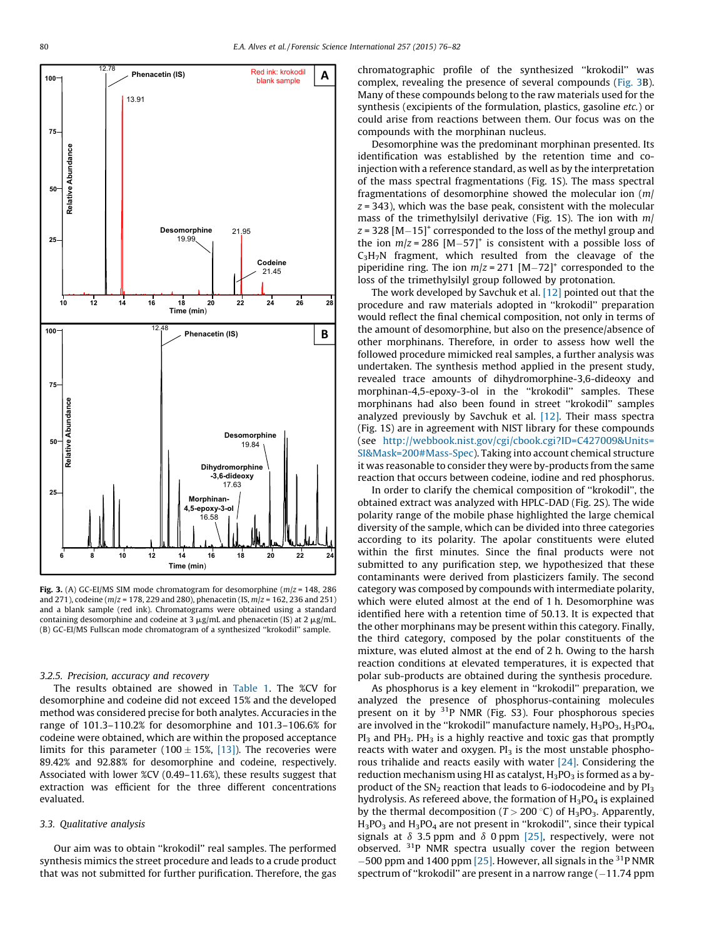<span id="page-4-0"></span>

Fig. 3. (A) GC-EI/MS SIM mode chromatogram for desomorphine ( $m/z$  = 148, 286 and 271), codeine ( $m/z = 178$ , 229 and 280), phenacetin (IS,  $m/z = 162$ , 236 and 251) and a blank sample (red ink). Chromatograms were obtained using a standard containing desomorphine and codeine at 3  $\mu$ g/mL and phenacetin (IS) at 2  $\mu$ g/mL. (B) GC-EI/MS Fullscan mode chromatogram of a synthesized ''krokodil'' sample.

## 3.2.5. Precision, accuracy and recovery

The results obtained are showed in [Table](#page-5-0) 1. The %CV for desomorphine and codeine did not exceed 15% and the developed method was considered precise for both analytes. Accuracies in the range of 101.3–110.2% for desomorphine and 101.3–106.6% for codeine were obtained, which are within the proposed acceptance limits for this parameter (100  $\pm$  15%, [\[13\]](#page-6-0)). The recoveries were 89.42% and 92.88% for desomorphine and codeine, respectively. Associated with lower %CV (0.49–11.6%), these results suggest that extraction was efficient for the three different concentrations evaluated.

## 3.3. Qualitative analysis

Our aim was to obtain ''krokodil'' real samples. The performed synthesis mimics the street procedure and leads to a crude product that was not submitted for further purification. Therefore, the gas chromatographic profile of the synthesized ''krokodil'' was complex, revealing the presence of several compounds (Fig. 3B). Many of these compounds belong to the raw materials used for the synthesis (excipients of the formulation, plastics, gasoline etc.) or could arise from reactions between them. Our focus was on the compounds with the morphinan nucleus.

Desomorphine was the predominant morphinan presented. Its identification was established by the retention time and coinjection with a reference standard, as well as by the interpretation of the mass spectral fragmentations (Fig. 1S). The mass spectral fragmentations of desomorphine showed the molecular ion (m/  $z = 343$ ), which was the base peak, consistent with the molecular mass of the trimethylsilyl derivative (Fig. 1S). The ion with m/  $z = 328$  [M $-15$ ]<sup>+</sup> corresponded to the loss of the methyl group and the ion  $m/z = 286$  [M-57]<sup>+</sup> is consistent with a possible loss of  $C_3H_7N$  fragment, which resulted from the cleavage of the piperidine ring. The ion  $m/z = 271$  [M-72]<sup>+</sup> corresponded to the loss of the trimethylsilyl group followed by protonation.

The work developed by Savchuk et al. [\[12\]](#page-6-0) pointed out that the procedure and raw materials adopted in ''krokodil'' preparation would reflect the final chemical composition, not only in terms of the amount of desomorphine, but also on the presence/absence of other morphinans. Therefore, in order to assess how well the followed procedure mimicked real samples, a further analysis was undertaken. The synthesis method applied in the present study, revealed trace amounts of dihydromorphine-3,6-dideoxy and morphinan-4,5-epoxy-3-ol in the ''krokodil'' samples. These morphinans had also been found in street ''krokodil'' samples analyzed previously by Savchuk et al. [\[12\]](#page-6-0). Their mass spectra (Fig. 1S) are in agreement with NIST library for these compounds (see [http://webbook.nist.gov/cgi/cbook.cgi?ID=C427009&Units=](http://webbook.nist.gov/cgi/cbook.cgi?ID=C427009&Units=SI&Mask=200) [SI&Mask=200#Mass-Spec\)](http://webbook.nist.gov/cgi/cbook.cgi?ID=C427009&Units=SI&Mask=200). Taking into account chemical structure it was reasonable to consider they were by-products from the same reaction that occurs between codeine, iodine and red phosphorus.

In order to clarify the chemical composition of ''krokodil'', the obtained extract was analyzed with HPLC-DAD (Fig. 2S). The wide polarity range of the mobile phase highlighted the large chemical diversity of the sample, which can be divided into three categories according to its polarity. The apolar constituents were eluted within the first minutes. Since the final products were not submitted to any purification step, we hypothesized that these contaminants were derived from plasticizers family. The second category was composed by compounds with intermediate polarity, which were eluted almost at the end of 1 h. Desomorphine was identified here with a retention time of 50.13. It is expected that the other morphinans may be present within this category. Finally, the third category, composed by the polar constituents of the mixture, was eluted almost at the end of 2 h. Owing to the harsh reaction conditions at elevated temperatures, it is expected that polar sub-products are obtained during the synthesis procedure.

As phosphorus is a key element in ''krokodil'' preparation, we analyzed the presence of phosphorus-containing molecules present on it by  $31P$  NMR (Fig. S3). Four phosphorous species are involved in the "krokodil" manufacture namely,  $H_3PO_3$ ,  $H_3PO_4$ , PI<sub>3</sub> and PH<sub>3</sub>. PH<sub>3</sub> is a highly reactive and toxic gas that promptly reacts with water and oxygen.  $PI_3$  is the most unstable phosphorous trihalide and reacts easily with water [\[24\].](#page-6-0) Considering the reduction mechanism using HI as catalyst,  $H_3PO_3$  is formed as a byproduct of the  $SN_2$  reaction that leads to 6-iodocodeine and by  $PI_3$ hydrolysis. As refereed above, the formation of  $H_3PO_4$  is explained by the thermal decomposition ( $T > 200$  °C) of H<sub>3</sub>PO<sub>3</sub>. Apparently, H<sub>3</sub>PO<sub>3</sub> and H<sub>3</sub>PO<sub>4</sub> are not present in "krokodil", since their typical signals at  $\delta$  3.5 ppm and  $\delta$  0 ppm [\[25\]](#page-6-0), respectively, were not observed. <sup>31</sup>P NMR spectra usually cover the region between -500 ppm and 1400 ppm [\[25\].](#page-6-0) However, all signals in the <sup>31</sup>P NMR spectrum of "krokodil" are present in a narrow range  $(-11.74$  ppm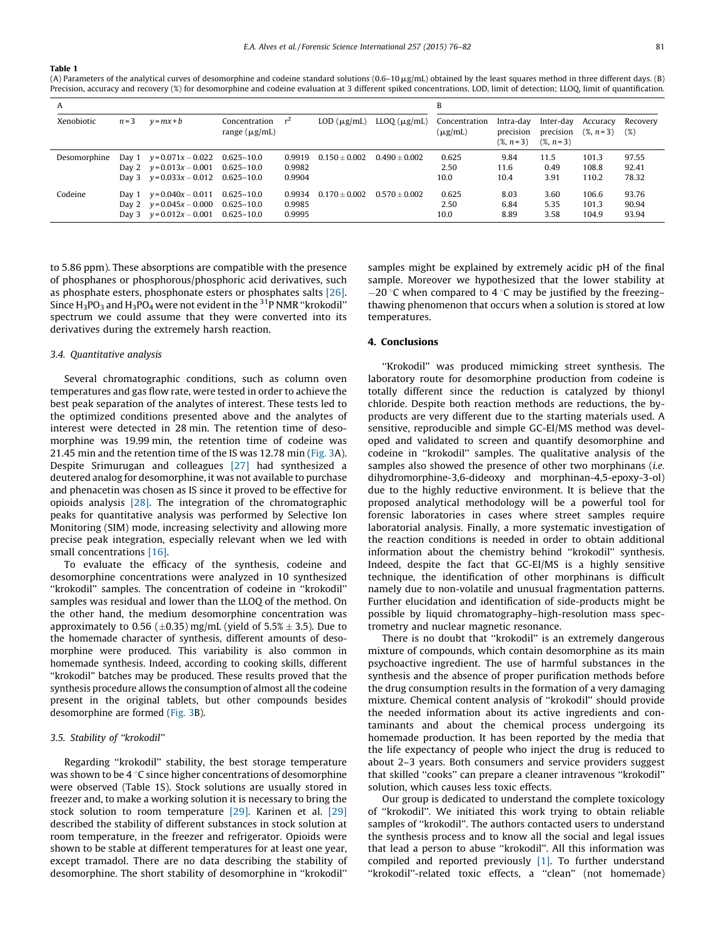#### <span id="page-5-0"></span>Table 1

(A) Parameters of the analytical curves of desomorphine and codeine standard solutions  $(0.6-10 \mu g/mL)$  obtained by the least squares method in three different days. (B) Precision, accuracy and recovery (%) for desomorphine and codeine evaluation at 3 different spiked concentrations. LOD, limit of detection; LLOQ, limit of quantification.

| A            |         |                                                                                          |                                                    |                            |                     |                      |                               |                                      |                                      |                         |                         |
|--------------|---------|------------------------------------------------------------------------------------------|----------------------------------------------------|----------------------------|---------------------|----------------------|-------------------------------|--------------------------------------|--------------------------------------|-------------------------|-------------------------|
| Xenobiotic   | $n = 3$ | $v = mx + b$                                                                             | Concentration $r^2$<br>range $(\mu g/mL)$          |                            | $LOD$ ( $\mu$ g/mL) | $LLOQ$ ( $\mu$ g/mL) | Concentration<br>$(\mu g/mL)$ | Intra-day<br>precision<br>$(%, n=3)$ | Inter-day<br>precision<br>$(X, n=3)$ | Accuracy<br>$(X, n=3)$  | Recovery<br>(%)         |
| Desomorphine |         | Day 1 $y = 0.071x - 0.022$<br>Day 2 $y = 0.013x - 0.001$<br>Day 3 $y = 0.033x - 0.012$   | $0.625 - 10.0$<br>$0.625 - 10.0$<br>$0.625 - 10.0$ | 0.9919<br>0.9982<br>0.9904 | $0.150 + 0.002$     | $0.490 + 0.002$      | 0.625<br>2.50<br>10.0         | 9.84<br>11.6<br>10.4                 | 11.5<br>0.49<br>3.91                 | 101.3<br>108.8<br>110.2 | 97.55<br>92.41<br>78.32 |
| Codeine      |         | Day $1 \quad v = 0.040x - 0.011$<br>Day 2 $y=0.045x-0.000$<br>Day 3 $y = 0.012x - 0.001$ | $0.625 - 10.0$<br>$0.625 - 10.0$<br>$0.625 - 10.0$ | 0.9934<br>0.9985<br>0.9995 | $0.170 + 0.002$     | $0.570 + 0.002$      | 0.625<br>2.50<br>10.0         | 8.03<br>6.84<br>8.89                 | 3.60<br>5.35<br>3.58                 | 106.6<br>101.3<br>104.9 | 93.76<br>90.94<br>93.94 |

to 5.86 ppm). These absorptions are compatible with the presence of phosphanes or phosphorous/phosphoric acid derivatives, such as phosphate esters, phosphonate esters or phosphates salts [\[26\].](#page-6-0) Since  $H_3PO_3$  and  $H_3PO_4$  were not evident in the <sup>31</sup>P NMR "krokodil" spectrum we could assume that they were converted into its derivatives during the extremely harsh reaction.

#### 3.4. Quantitative analysis

Several chromatographic conditions, such as column oven temperatures and gas flow rate, were tested in order to achieve the best peak separation of the analytes of interest. These tests led to the optimized conditions presented above and the analytes of interest were detected in 28 min. The retention time of desomorphine was 19.99 min, the retention time of codeine was 21.45 min and the retention time of the IS was 12.78 min [\(Fig.](#page-4-0) 3A). Despite Srimurugan and colleagues [\[27\]](#page-6-0) had synthesized a deutered analog for desomorphine, it was not available to purchase and phenacetin was chosen as IS since it proved to be effective for opioids analysis [\[28\]](#page-6-0). The integration of the chromatographic peaks for quantitative analysis was performed by Selective Ion Monitoring (SIM) mode, increasing selectivity and allowing more precise peak integration, especially relevant when we led with small concentrations [\[16\]](#page-6-0).

To evaluate the efficacy of the synthesis, codeine and desomorphine concentrations were analyzed in 10 synthesized ''krokodil'' samples. The concentration of codeine in ''krokodil'' samples was residual and lower than the LLOQ of the method. On the other hand, the medium desomorphine concentration was approximately to 0.56 ( $\pm$ 0.35) mg/mL (yield of 5.5%  $\pm$  3.5). Due to the homemade character of synthesis, different amounts of desomorphine were produced. This variability is also common in homemade synthesis. Indeed, according to cooking skills, different ''krokodil'' batches may be produced. These results proved that the synthesis procedure allows the consumption of almost all the codeine present in the original tablets, but other compounds besides desomorphine are formed [\(Fig.](#page-4-0) 3B).

# 3.5. Stability of ''krokodil''

Regarding ''krokodil'' stability, the best storage temperature was shown to be 4  $\degree$ C since higher concentrations of desomorphine were observed (Table 1S). Stock solutions are usually stored in freezer and, to make a working solution it is necessary to bring the stock solution to room temperature [\[29\].](#page-6-0) Karinen et al. [\[29\]](#page-6-0) described the stability of different substances in stock solution at room temperature, in the freezer and refrigerator. Opioids were shown to be stable at different temperatures for at least one year, except tramadol. There are no data describing the stability of desomorphine. The short stability of desomorphine in ''krokodil'' samples might be explained by extremely acidic pH of the final sample. Moreover we hypothesized that the lower stability at  $-20$  °C when compared to 4 °C may be justified by the freezing– thawing phenomenon that occurs when a solution is stored at low temperatures.

# 4. Conclusions

"Krokodil" was produced mimicking street synthesis. The laboratory route for desomorphine production from codeine is totally different since the reduction is catalyzed by thionyl chloride. Despite both reaction methods are reductions, the byproducts are very different due to the starting materials used. A sensitive, reproducible and simple GC-EI/MS method was developed and validated to screen and quantify desomorphine and codeine in ''krokodil'' samples. The qualitative analysis of the samples also showed the presence of other two morphinans (*i.e.* dihydromorphine-3,6-dideoxy and morphinan-4,5-epoxy-3-ol) due to the highly reductive environment. It is believe that the proposed analytical methodology will be a powerful tool for forensic laboratories in cases where street samples require laboratorial analysis. Finally, a more systematic investigation of the reaction conditions is needed in order to obtain additional information about the chemistry behind ''krokodil'' synthesis. Indeed, despite the fact that GC-EI/MS is a highly sensitive technique, the identification of other morphinans is difficult namely due to non-volatile and unusual fragmentation patterns. Further elucidation and identification of side-products might be possible by liquid chromatography–high-resolution mass spectrometry and nuclear magnetic resonance.

There is no doubt that ''krokodil'' is an extremely dangerous mixture of compounds, which contain desomorphine as its main psychoactive ingredient. The use of harmful substances in the synthesis and the absence of proper purification methods before the drug consumption results in the formation of a very damaging mixture. Chemical content analysis of ''krokodil'' should provide the needed information about its active ingredients and contaminants and about the chemical process undergoing its homemade production. It has been reported by the media that the life expectancy of people who inject the drug is reduced to about 2–3 years. Both consumers and service providers suggest that skilled ''cooks'' can prepare a cleaner intravenous ''krokodil'' solution, which causes less toxic effects.

Our group is dedicated to understand the complete toxicology of ''krokodil''. We initiated this work trying to obtain reliable samples of ''krokodil''. The authors contacted users to understand the synthesis process and to know all the social and legal issues that lead a person to abuse ''krokodil''. All this information was compiled and reported previously [\[1\]](#page-6-0). To further understand ''krokodil''-related toxic effects, a ''clean'' (not homemade)